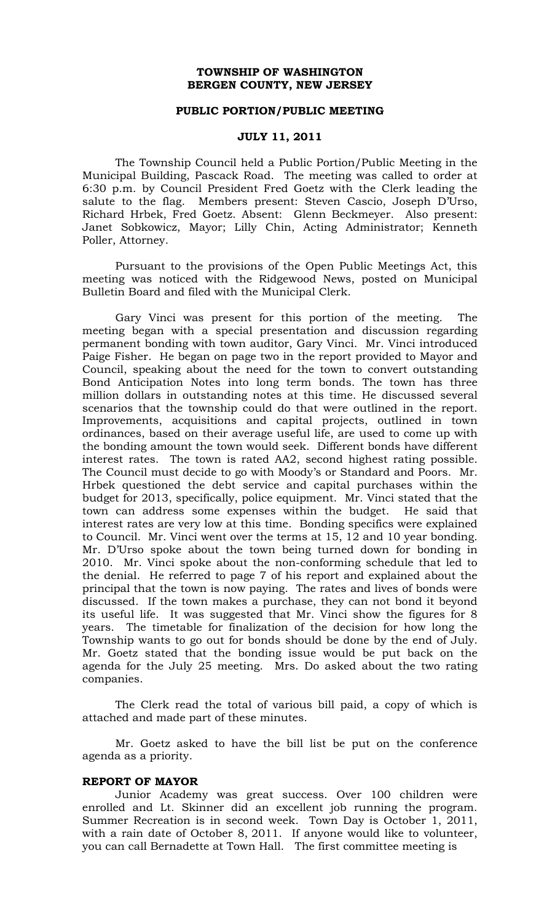# **TOWNSHIP OF WASHINGTON BERGEN COUNTY, NEW JERSEY**

#### **PUBLIC PORTION/PUBLIC MEETING**

### **JULY 11, 2011**

The Township Council held a Public Portion/Public Meeting in the Municipal Building, Pascack Road. The meeting was called to order at 6:30 p.m. by Council President Fred Goetz with the Clerk leading the salute to the flag. Members present: Steven Cascio, Joseph D'Urso, Richard Hrbek, Fred Goetz. Absent: Glenn Beckmeyer. Also present: Janet Sobkowicz, Mayor; Lilly Chin, Acting Administrator; Kenneth Poller, Attorney.

Pursuant to the provisions of the Open Public Meetings Act, this meeting was noticed with the Ridgewood News, posted on Municipal Bulletin Board and filed with the Municipal Clerk.

Gary Vinci was present for this portion of the meeting. The meeting began with a special presentation and discussion regarding permanent bonding with town auditor, Gary Vinci. Mr. Vinci introduced Paige Fisher. He began on page two in the report provided to Mayor and Council, speaking about the need for the town to convert outstanding Bond Anticipation Notes into long term bonds. The town has three million dollars in outstanding notes at this time. He discussed several scenarios that the township could do that were outlined in the report. Improvements, acquisitions and capital projects, outlined in town ordinances, based on their average useful life, are used to come up with the bonding amount the town would seek. Different bonds have different interest rates. The town is rated AA2, second highest rating possible. The Council must decide to go with Moody's or Standard and Poors. Mr. Hrbek questioned the debt service and capital purchases within the budget for 2013, specifically, police equipment. Mr. Vinci stated that the town can address some expenses within the budget. He said that interest rates are very low at this time. Bonding specifics were explained to Council. Mr. Vinci went over the terms at 15, 12 and 10 year bonding. Mr. D'Urso spoke about the town being turned down for bonding in 2010. Mr. Vinci spoke about the non-conforming schedule that led to the denial. He referred to page 7 of his report and explained about the principal that the town is now paying. The rates and lives of bonds were discussed. If the town makes a purchase, they can not bond it beyond its useful life. It was suggested that Mr. Vinci show the figures for 8 years. The timetable for finalization of the decision for how long the Township wants to go out for bonds should be done by the end of July. Mr. Goetz stated that the bonding issue would be put back on the agenda for the July 25 meeting. Mrs. Do asked about the two rating companies.

The Clerk read the total of various bill paid, a copy of which is attached and made part of these minutes.

Mr. Goetz asked to have the bill list be put on the conference agenda as a priority.

### **REPORT OF MAYOR**

Junior Academy was great success. Over 100 children were enrolled and Lt. Skinner did an excellent job running the program. Summer Recreation is in second week. Town Day is October 1, 2011, with a rain date of October 8, 2011. If anyone would like to volunteer, you can call Bernadette at Town Hall. The first committee meeting is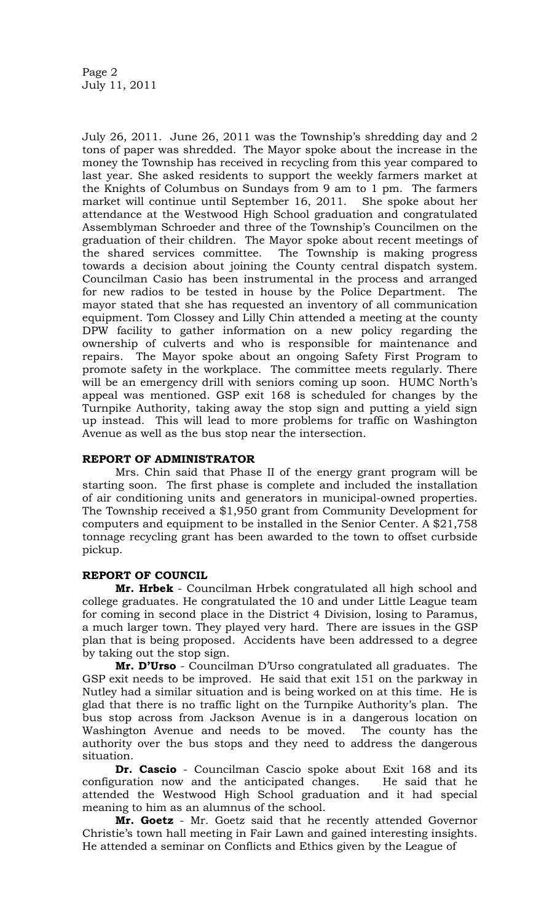July 26, 2011. June 26, 2011 was the Township's shredding day and 2 tons of paper was shredded. The Mayor spoke about the increase in the money the Township has received in recycling from this year compared to last year. She asked residents to support the weekly farmers market at the Knights of Columbus on Sundays from 9 am to 1 pm. The farmers market will continue until September 16, 2011. She spoke about her attendance at the Westwood High School graduation and congratulated Assemblyman Schroeder and three of the Township's Councilmen on the graduation of their children. The Mayor spoke about recent meetings of the shared services committee. The Township is making progress towards a decision about joining the County central dispatch system. Councilman Casio has been instrumental in the process and arranged for new radios to be tested in house by the Police Department. The mayor stated that she has requested an inventory of all communication equipment. Tom Clossey and Lilly Chin attended a meeting at the county DPW facility to gather information on a new policy regarding the ownership of culverts and who is responsible for maintenance and repairs. The Mayor spoke about an ongoing Safety First Program to promote safety in the workplace. The committee meets regularly. There will be an emergency drill with seniors coming up soon. HUMC North's appeal was mentioned. GSP exit 168 is scheduled for changes by the Turnpike Authority, taking away the stop sign and putting a yield sign up instead. This will lead to more problems for traffic on Washington Avenue as well as the bus stop near the intersection.

# **REPORT OF ADMINISTRATOR**

Mrs. Chin said that Phase II of the energy grant program will be starting soon. The first phase is complete and included the installation of air conditioning units and generators in municipal-owned properties. The Township received a \$1,950 grant from Community Development for computers and equipment to be installed in the Senior Center. A \$21,758 tonnage recycling grant has been awarded to the town to offset curbside pickup.

# **REPORT OF COUNCIL**

**Mr. Hrbek** - Councilman Hrbek congratulated all high school and college graduates. He congratulated the 10 and under Little League team for coming in second place in the District 4 Division, losing to Paramus, a much larger town. They played very hard. There are issues in the GSP plan that is being proposed. Accidents have been addressed to a degree by taking out the stop sign.

**Mr. D'Urso** - Councilman D'Urso congratulated all graduates. The GSP exit needs to be improved. He said that exit 151 on the parkway in Nutley had a similar situation and is being worked on at this time. He is glad that there is no traffic light on the Turnpike Authority's plan. The bus stop across from Jackson Avenue is in a dangerous location on Washington Avenue and needs to be moved. The county has the authority over the bus stops and they need to address the dangerous situation.

**Dr. Cascio** - Councilman Cascio spoke about Exit 168 and its configuration now and the anticipated changes. He said that he attended the Westwood High School graduation and it had special meaning to him as an alumnus of the school.

**Mr. Goetz** - Mr. Goetz said that he recently attended Governor Christie's town hall meeting in Fair Lawn and gained interesting insights. He attended a seminar on Conflicts and Ethics given by the League of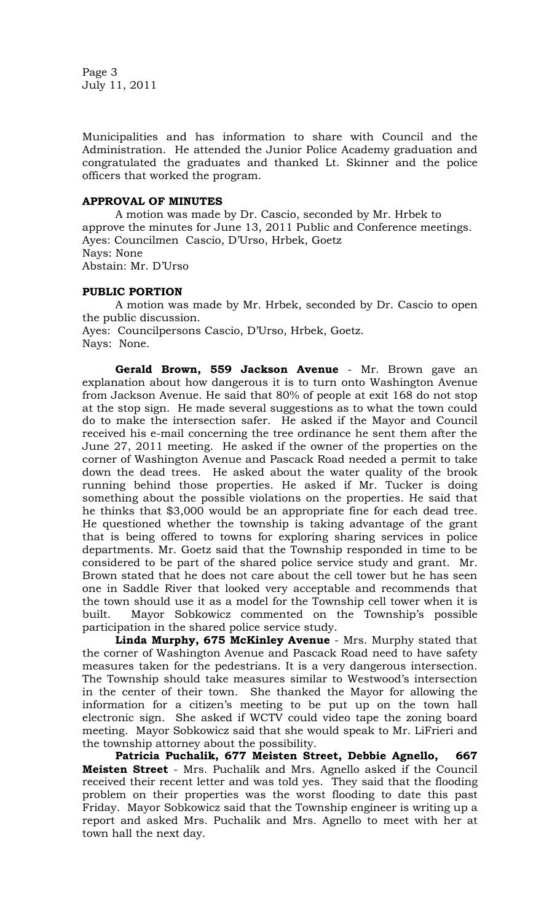Page 3 July 11, 2011

Municipalities and has information to share with Council and the Administration. He attended the Junior Police Academy graduation and congratulated the graduates and thanked Lt. Skinner and the police officers that worked the program.

### **APPROVAL OF MINUTES**

A motion was made by Dr. Cascio, seconded by Mr. Hrbek to approve the minutes for June 13, 2011 Public and Conference meetings. Ayes: Councilmen Cascio, D'Urso, Hrbek, Goetz Nays: None Abstain: Mr. D'Urso

# **PUBLIC PORTION**

A motion was made by Mr. Hrbek, seconded by Dr. Cascio to open the public discussion. Ayes: Councilpersons Cascio, D'Urso, Hrbek, Goetz. Nays: None.

**Gerald Brown, 559 Jackson Avenue** - Mr. Brown gave an explanation about how dangerous it is to turn onto Washington Avenue from Jackson Avenue. He said that 80% of people at exit 168 do not stop at the stop sign. He made several suggestions as to what the town could do to make the intersection safer. He asked if the Mayor and Council received his e-mail concerning the tree ordinance he sent them after the June 27, 2011 meeting. He asked if the owner of the properties on the corner of Washington Avenue and Pascack Road needed a permit to take down the dead trees. He asked about the water quality of the brook running behind those properties. He asked if Mr. Tucker is doing something about the possible violations on the properties. He said that he thinks that \$3,000 would be an appropriate fine for each dead tree. He questioned whether the township is taking advantage of the grant that is being offered to towns for exploring sharing services in police departments. Mr. Goetz said that the Township responded in time to be considered to be part of the shared police service study and grant. Mr. Brown stated that he does not care about the cell tower but he has seen one in Saddle River that looked very acceptable and recommends that the town should use it as a model for the Township cell tower when it is built. Mayor Sobkowicz commented on the Township's possible participation in the shared police service study.

**Linda Murphy, 675 McKinley Avenue** - Mrs. Murphy stated that the corner of Washington Avenue and Pascack Road need to have safety measures taken for the pedestrians. It is a very dangerous intersection. The Township should take measures similar to Westwood's intersection in the center of their town. She thanked the Mayor for allowing the information for a citizen's meeting to be put up on the town hall electronic sign. She asked if WCTV could video tape the zoning board meeting. Mayor Sobkowicz said that she would speak to Mr. LiFrieri and the township attorney about the possibility.

**Patricia Puchalik, 677 Meisten Street, Debbie Agnello, 667 Meisten Street** - Mrs. Puchalik and Mrs. Agnello asked if the Council received their recent letter and was told yes. They said that the flooding problem on their properties was the worst flooding to date this past Friday. Mayor Sobkowicz said that the Township engineer is writing up a report and asked Mrs. Puchalik and Mrs. Agnello to meet with her at town hall the next day.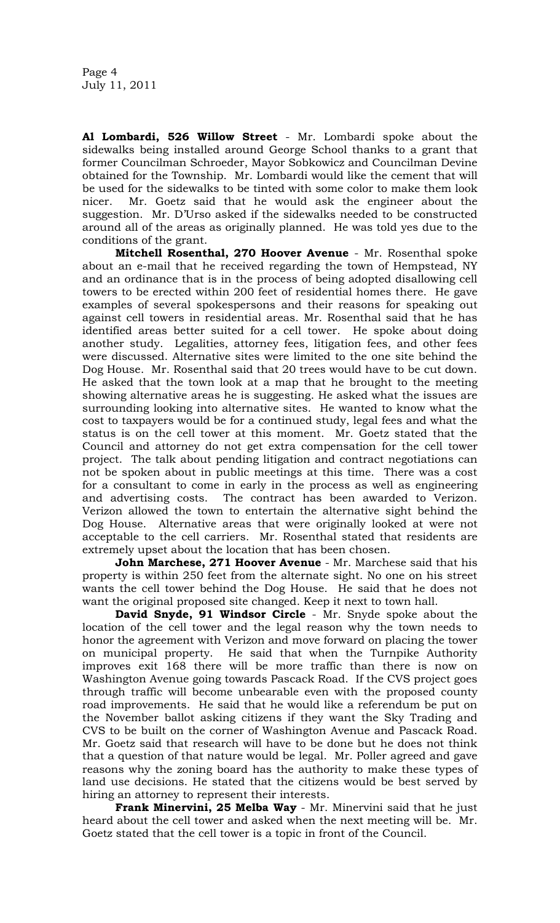**Al Lombardi, 526 Willow Street** - Mr. Lombardi spoke about the sidewalks being installed around George School thanks to a grant that former Councilman Schroeder, Mayor Sobkowicz and Councilman Devine obtained for the Township. Mr. Lombardi would like the cement that will be used for the sidewalks to be tinted with some color to make them look nicer. Mr. Goetz said that he would ask the engineer about the suggestion. Mr. D'Urso asked if the sidewalks needed to be constructed around all of the areas as originally planned. He was told yes due to the conditions of the grant.

**Mitchell Rosenthal, 270 Hoover Avenue** - Mr. Rosenthal spoke about an e-mail that he received regarding the town of Hempstead, NY and an ordinance that is in the process of being adopted disallowing cell towers to be erected within 200 feet of residential homes there. He gave examples of several spokespersons and their reasons for speaking out against cell towers in residential areas. Mr. Rosenthal said that he has identified areas better suited for a cell tower. He spoke about doing another study. Legalities, attorney fees, litigation fees, and other fees were discussed. Alternative sites were limited to the one site behind the Dog House. Mr. Rosenthal said that 20 trees would have to be cut down. He asked that the town look at a map that he brought to the meeting showing alternative areas he is suggesting. He asked what the issues are surrounding looking into alternative sites. He wanted to know what the cost to taxpayers would be for a continued study, legal fees and what the status is on the cell tower at this moment. Mr. Goetz stated that the Council and attorney do not get extra compensation for the cell tower project. The talk about pending litigation and contract negotiations can not be spoken about in public meetings at this time. There was a cost for a consultant to come in early in the process as well as engineering and advertising costs. The contract has been awarded to Verizon. Verizon allowed the town to entertain the alternative sight behind the Dog House. Alternative areas that were originally looked at were not acceptable to the cell carriers. Mr. Rosenthal stated that residents are extremely upset about the location that has been chosen.

**John Marchese, 271 Hoover Avenue** - Mr. Marchese said that his property is within 250 feet from the alternate sight. No one on his street wants the cell tower behind the Dog House. He said that he does not want the original proposed site changed. Keep it next to town hall.

**David Snyde, 91 Windsor Circle** - Mr. Snyde spoke about the location of the cell tower and the legal reason why the town needs to honor the agreement with Verizon and move forward on placing the tower on municipal property. He said that when the Turnpike Authority improves exit 168 there will be more traffic than there is now on Washington Avenue going towards Pascack Road. If the CVS project goes through traffic will become unbearable even with the proposed county road improvements. He said that he would like a referendum be put on the November ballot asking citizens if they want the Sky Trading and CVS to be built on the corner of Washington Avenue and Pascack Road. Mr. Goetz said that research will have to be done but he does not think that a question of that nature would be legal. Mr. Poller agreed and gave reasons why the zoning board has the authority to make these types of land use decisions. He stated that the citizens would be best served by hiring an attorney to represent their interests.

**Frank Minervini, 25 Melba Way** - Mr. Minervini said that he just heard about the cell tower and asked when the next meeting will be. Mr. Goetz stated that the cell tower is a topic in front of the Council.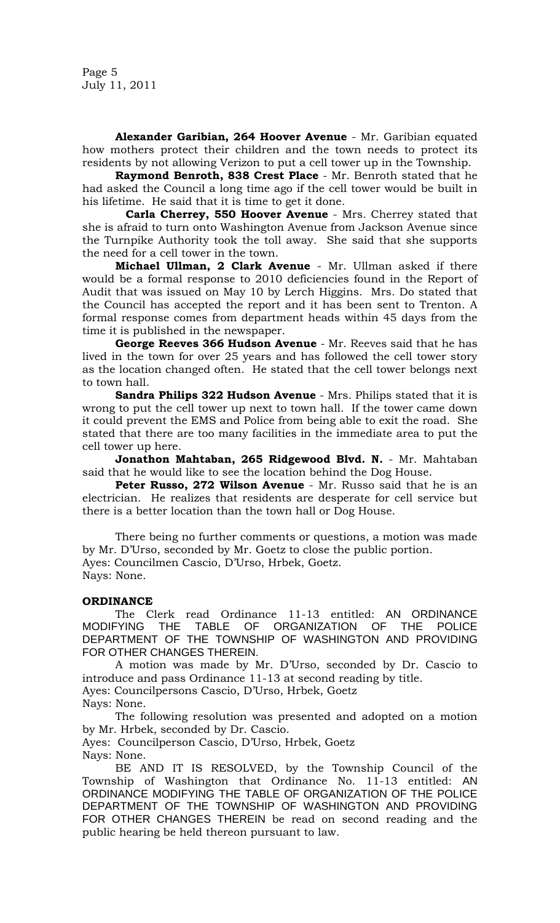Page 5 July 11, 2011

**Alexander Garibian, 264 Hoover Avenue** - Mr. Garibian equated how mothers protect their children and the town needs to protect its residents by not allowing Verizon to put a cell tower up in the Township.

**Raymond Benroth, 838 Crest Place** - Mr. Benroth stated that he had asked the Council a long time ago if the cell tower would be built in his lifetime. He said that it is time to get it done.

 **Carla Cherrey, 550 Hoover Avenue** - Mrs. Cherrey stated that she is afraid to turn onto Washington Avenue from Jackson Avenue since the Turnpike Authority took the toll away. She said that she supports the need for a cell tower in the town.

**Michael Ullman, 2 Clark Avenue** - Mr. Ullman asked if there would be a formal response to 2010 deficiencies found in the Report of Audit that was issued on May 10 by Lerch Higgins. Mrs. Do stated that the Council has accepted the report and it has been sent to Trenton. A formal response comes from department heads within 45 days from the time it is published in the newspaper.

**George Reeves 366 Hudson Avenue** - Mr. Reeves said that he has lived in the town for over 25 years and has followed the cell tower story as the location changed often. He stated that the cell tower belongs next to town hall.

**Sandra Philips 322 Hudson Avenue** - Mrs. Philips stated that it is wrong to put the cell tower up next to town hall. If the tower came down it could prevent the EMS and Police from being able to exit the road. She stated that there are too many facilities in the immediate area to put the cell tower up here.

**Jonathon Mahtaban, 265 Ridgewood Blvd. N.** - Mr. Mahtaban said that he would like to see the location behind the Dog House.

**Peter Russo, 272 Wilson Avenue** - Mr. Russo said that he is an electrician. He realizes that residents are desperate for cell service but there is a better location than the town hall or Dog House.

There being no further comments or questions, a motion was made by Mr. D'Urso, seconded by Mr. Goetz to close the public portion. Ayes: Councilmen Cascio, D'Urso, Hrbek, Goetz. Nays: None.

### **ORDINANCE**

The Clerk read Ordinance 11-13 entitled: AN ORDINANCE MODIFYING THE TABLE OF ORGANIZATION OF THE POLICE DEPARTMENT OF THE TOWNSHIP OF WASHINGTON AND PROVIDING FOR OTHER CHANGES THEREIN.

A motion was made by Mr. D'Urso, seconded by Dr. Cascio to introduce and pass Ordinance 11-13 at second reading by title. Ayes: Councilpersons Cascio, D'Urso, Hrbek, Goetz Nays: None.

The following resolution was presented and adopted on a motion by Mr. Hrbek, seconded by Dr. Cascio.

Ayes: Councilperson Cascio, D'Urso, Hrbek, Goetz Nays: None.

BE AND IT IS RESOLVED, by the Township Council of the Township of Washington that Ordinance No. 11-13 entitled: AN ORDINANCE MODIFYING THE TABLE OF ORGANIZATION OF THE POLICE DEPARTMENT OF THE TOWNSHIP OF WASHINGTON AND PROVIDING FOR OTHER CHANGES THEREIN be read on second reading and the public hearing be held thereon pursuant to law.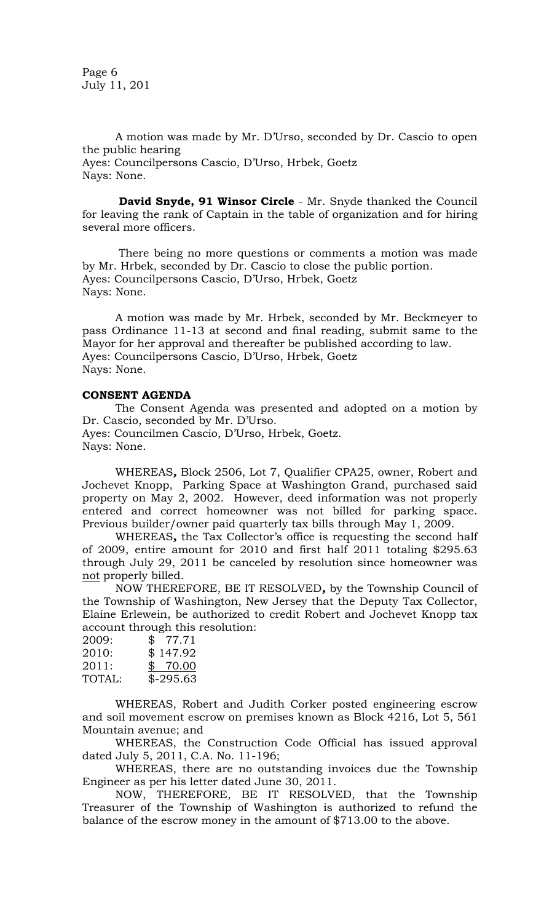Page 6 July 11, 201

A motion was made by Mr. D'Urso, seconded by Dr. Cascio to open the public hearing Ayes: Councilpersons Cascio, D'Urso, Hrbek, Goetz Nays: None.

**David Snyde, 91 Winsor Circle** - Mr. Snyde thanked the Council for leaving the rank of Captain in the table of organization and for hiring several more officers.

There being no more questions or comments a motion was made by Mr. Hrbek, seconded by Dr. Cascio to close the public portion. Ayes: Councilpersons Cascio, D'Urso, Hrbek, Goetz Nays: None.

A motion was made by Mr. Hrbek, seconded by Mr. Beckmeyer to pass Ordinance 11-13 at second and final reading, submit same to the Mayor for her approval and thereafter be published according to law. Ayes: Councilpersons Cascio, D'Urso, Hrbek, Goetz Nays: None.

# **CONSENT AGENDA**

The Consent Agenda was presented and adopted on a motion by Dr. Cascio, seconded by Mr. D'Urso. Ayes: Councilmen Cascio, D'Urso, Hrbek, Goetz. Nays: None.

WHEREAS*,* Block 2506, Lot 7, Qualifier CPA25, owner, Robert and Jochevet Knopp, Parking Space at Washington Grand, purchased said property on May 2, 2002. However, deed information was not properly entered and correct homeowner was not billed for parking space. Previous builder/owner paid quarterly tax bills through May 1, 2009.

WHEREAS*,* the Tax Collector's office is requesting the second half of 2009, entire amount for 2010 and first half 2011 totaling \$295.63 through July 29, 2011 be canceled by resolution since homeowner was not properly billed.

NOW THEREFORE, BE IT RESOLVED*,* by the Township Council of the Township of Washington, New Jersey that the Deputy Tax Collector, Elaine Erlewein, be authorized to credit Robert and Jochevet Knopp tax account through this resolution:

| 2009:  | \$77.71    |
|--------|------------|
| 2010:  | \$147.92   |
| 2011:  | \$70.00    |
| TOTAL: | $$-295.63$ |

WHEREAS, Robert and Judith Corker posted engineering escrow and soil movement escrow on premises known as Block 4216, Lot 5, 561 Mountain avenue; and

WHEREAS, the Construction Code Official has issued approval dated July 5, 2011, C.A. No. 11-196;

WHEREAS, there are no outstanding invoices due the Township Engineer as per his letter dated June 30, 2011.

NOW, THEREFORE, BE IT RESOLVED, that the Township Treasurer of the Township of Washington is authorized to refund the balance of the escrow money in the amount of \$713.00 to the above.